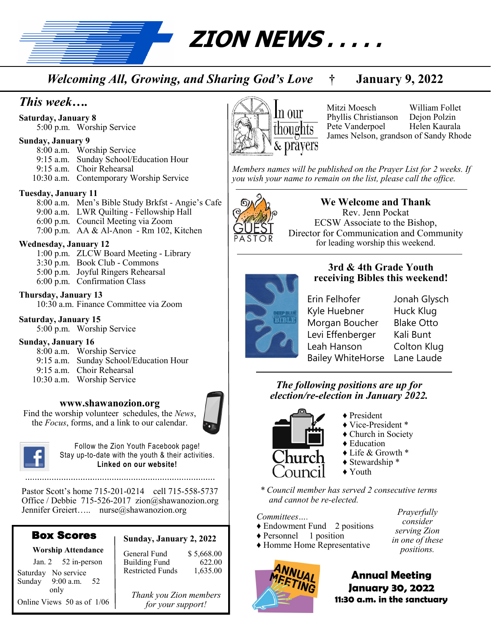**ZION NEWS . . . . .** 

*Welcoming All, Growing, and Sharing God's Love* **† January 9, 2022**

# *This week….*

**Saturday, January 8**

5:00 p.m. Worship Service

#### **Sunday, January 9**

8:00 a.m. Worship Service 9:15 a.m. Sunday School/Education Hour 9:15 a.m. Choir Rehearsal

10:30 a.m. Contemporary Worship Service

#### **Tuesday, January 11**

8:00 a.m. Men's Bible Study Brkfst - Angie's Cafe 9:00 a.m. LWR Quilting - Fellowship Hall 6:00 p.m. Council Meeting via Zoom 7:00 p.m. AA & Al-Anon - Rm 102, Kitchen

#### **Wednesday, January 12**

1:00 p.m. ZLCW Board Meeting - Library 3:30 p.m. Book Club - Commons 5:00 p.m. Joyful Ringers Rehearsal 6:00 p.m. Confirmation Class

#### **Thursday, January 13**

10:30 a.m. Finance Committee via Zoom

#### **Saturday, January 15**

5:00 p.m. Worship Service

#### **Sunday, January 16**

- 8:00 a.m. Worship Service 9:15 a.m. Sunday School/Education Hour
- 9:15 a.m. Choir Rehearsal 10:30 a.m. Worship Service
- 

#### **www.shawanozion.org**

Find the worship volunteer schedules, the *News*, the *Focus*, forms, and a link to our calendar.





Follow the Zion Youth Facebook page! Stay up-to-date with the youth & their activities. **Linked on our website!**

Pastor Scott's home 715-201-0214 cell 715-558-5737 Office / Debbie 715-526-2017 zion@shawanozion.org Jennifer Greiert….. nurse@shawanozion.org

# Box Scores

Online Views 50 as of 1/06

#### **Worship Attendance**

#### Jan. 2 52 in-person Saturday No service<br>Sunday 9:00 a.m.  $9:00$  a.m.  $52$ only

#### **Sunday, January 2, 2022** General Fund \$ 5,668.00

| Ueneral Fund     | 99.000.UU |
|------------------|-----------|
| Building Fund    | 622.00    |
| Restricted Funds | 1,635.00  |
|                  |           |

*Thank you Zion members for your support!*



Mitzi Moesch William Follet Phyllis Christianson Dejon Polzin Pete Vanderpoel Helen Kaurala James Nelson, grandson of Sandy Rhode

*Members names will be published on the Prayer List for 2 weeks. If you wish your name to remain on the list, please call the office.*



## **We Welcome and Thank**  Rev. Jenn Pockat ECSW Associate to the Bishop, Director for Communication and Community for leading worship this weekend.

**3rd & 4th Grade Youth receiving Bibles this weekend!**



Erin Felhofer Jonah Glysch Kyle Huebner Huck Klug Morgan Boucher Blake Otto Levi Effenberger Kali Bunt Leah Hanson Colton Klug Bailey WhiteHorse Lane Laude

## *The following positions are up for election/re-election in January 2022.*



- ♦ President ♦ Vice-President \*
- ♦ Church in Society
- ♦ Education
- ♦ Life & Growth \*
- ♦ Stewardship \*
- ♦ Youth

*\* Council member has served 2 consecutive terms and cannot be re-elected.*

#### *Committees….*

- ♦ Endowment Fund 2 positions
- ♦ Personnel 1 position
- ♦ Homme Home Representative



*Prayerfully consider serving Zion in one of these positions.*

**Annual Meeting January 30, 2022 11:30 a.m. in the sanctuary**